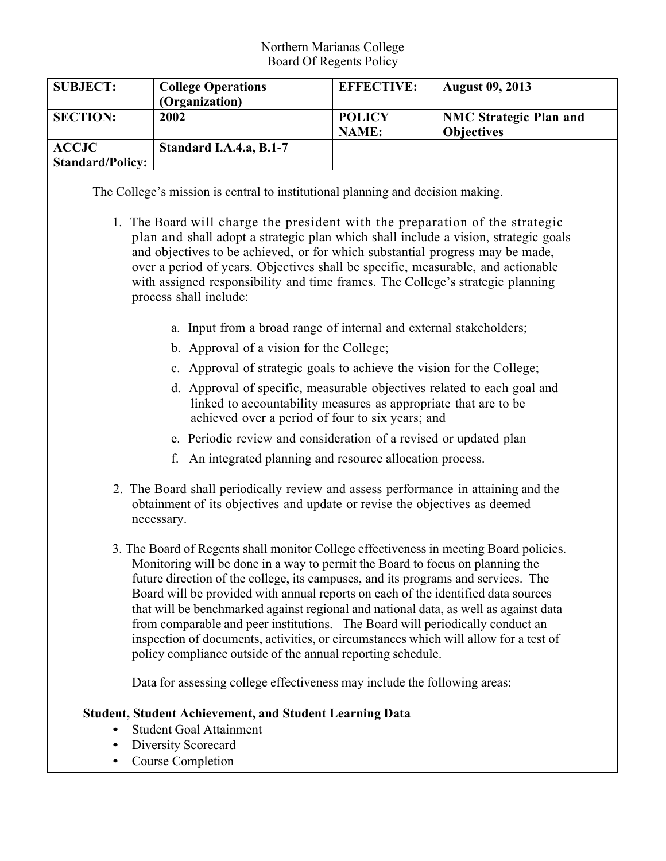### Northern Marianas College Board Of Regents Policy

| <b>SUBJECT:</b>         | <b>College Operations</b><br>(Organization) | <b>EFFECTIVE:</b>             | <b>August 09, 2013</b>                             |
|-------------------------|---------------------------------------------|-------------------------------|----------------------------------------------------|
| <b>SECTION:</b>         | 2002                                        | <b>POLICY</b><br><b>NAME:</b> | <b>NMC Strategic Plan and</b><br><b>Objectives</b> |
| <b>ACCJC</b>            | Standard I.A.4.a, B.1-7                     |                               |                                                    |
| <b>Standard/Policy:</b> |                                             |                               |                                                    |

The College's mission is central to institutional planning and decision making.

- 1. The Board will charge the president with the preparation of the strategic plan and shall adopt a strategic plan which shall include a vision, strategic goals and objectives to be achieved, or for which substantial progress may be made, over a period of years. Objectives shall be specific, measurable, and actionable with assigned responsibility and time frames. The College's strategic planning process shall include:
	- a. Input from a broad range of internal and external stakeholders;
	- b. Approval of a vision for the College;
	- c. Approval of strategic goals to achieve the vision for the College;
	- d. Approval of specific, measurable objectives related to each goal and linked to accountability measures as appropriate that are to be achieved over a period of four to six years; and
	- e. Periodic review and consideration of a revised or updated plan
	- f. An integrated planning and resource allocation process.
- 2. The Board shall periodically review and assess performance in attaining and the obtainment of its objectives and update or revise the objectives as deemed necessary.
- 3. The Board of Regents shall monitor College effectiveness in meeting Board policies. Monitoring will be done in a way to permit the Board to focus on planning the future direction of the college, its campuses, and its programs and services. The Board will be provided with annual reports on each of the identified data sources that will be benchmarked against regional and national data, as well as against data from comparable and peer institutions. The Board will periodically conduct an inspection of documents, activities, or circumstances which will allow for a test of policy compliance outside of the annual reporting schedule.

Data for assessing college effectiveness may include the following areas:

## **Student, Student Achievement, and Student Learning Data**

- Student Goal Attainment
- Diversity Scorecard
- Course Completion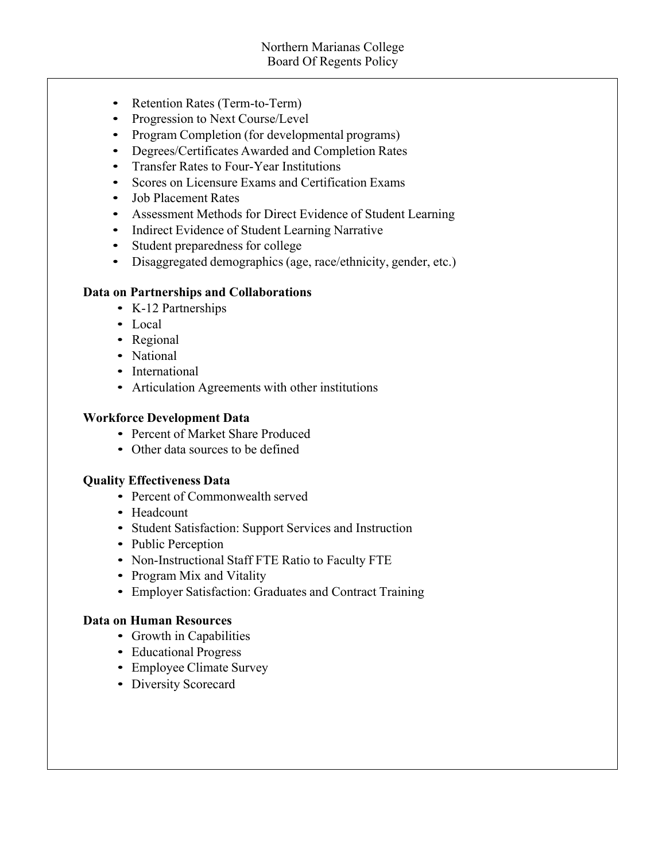- Retention Rates (Term-to-Term)
- Progression to Next Course/Level
- Program Completion (for developmental programs)
- Degrees/Certificates Awarded and Completion Rates
- Transfer Rates to Four-Year Institutions
- Scores on Licensure Exams and Certification Exams
- Job Placement Rates
- Assessment Methods for Direct Evidence of Student Learning
- Indirect Evidence of Student Learning Narrative
- Student preparedness for college
- Disaggregated demographics (age, race/ethnicity, gender, etc.)

## **Data on Partnerships and Collaborations**

- K-12 Partnerships
- Local
- Regional
- National
- International
- Articulation Agreements with other institutions

## **Workforce Development Data**

- Percent of Market Share Produced
- Other data sources to be defined

## **Quality Effectiveness Data**

- Percent of Commonwealth served
- Headcount
- Student Satisfaction: Support Services and Instruction
- Public Perception
- Non-Instructional Staff FTE Ratio to Faculty FTE
- Program Mix and Vitality
- Employer Satisfaction: Graduates and Contract Training

## **Data on Human Resources**

- Growth in Capabilities
- Educational Progress
- Employee Climate Survey
- Diversity Scorecard